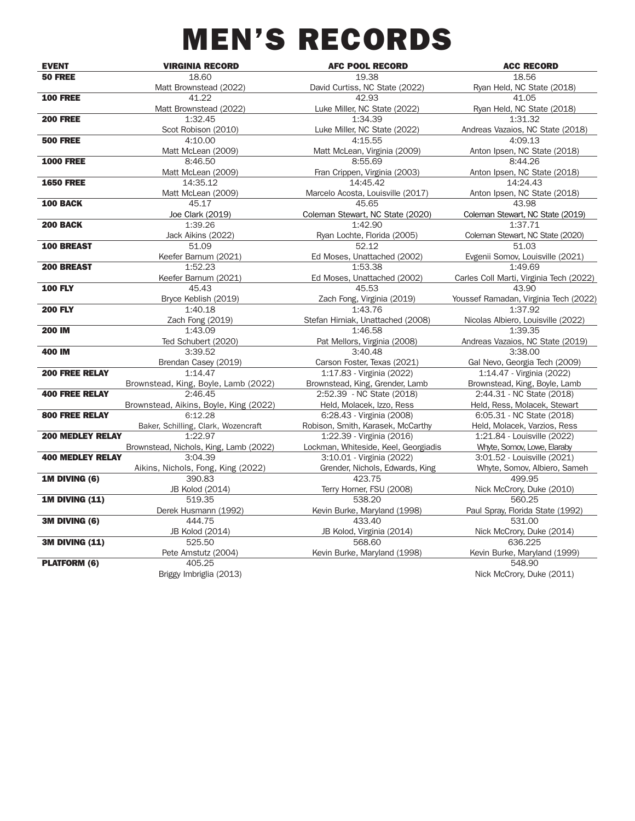# MEN'S RECORDS

| <b>EVENT</b>            | <b>VIRGINIA RECORD</b>                 | <b>AFC POOL RECORD</b>               | <b>ACC RECORD</b>                       |
|-------------------------|----------------------------------------|--------------------------------------|-----------------------------------------|
| <b>50 FREE</b>          | 18.60                                  | 19.38                                | 18.56                                   |
|                         | Matt Brownstead (2022)                 | David Curtiss, NC State (2022)       | Ryan Held, NC State (2018)              |
| <b>100 FREE</b>         | 41.22                                  | 42.93                                | 41.05                                   |
|                         | Matt Brownstead (2022)                 | Luke Miller, NC State (2022)         | Ryan Held, NC State (2018)              |
| <b>200 FREE</b>         | 1:32.45                                | 1:34.39                              | 1:31.32                                 |
|                         | Scot Robison (2010)                    | Luke Miller, NC State (2022)         | Andreas Vazaios, NC State (2018)        |
| <b>500 FREE</b>         | 4:10.00                                | 4:15.55                              | 4:09.13                                 |
|                         | Matt McLean (2009)                     | Matt McLean, Virginia (2009)         | Anton Ipsen, NC State (2018)            |
| <b>1000 FREE</b>        | 8:46.50                                | 8:55.69                              | 8:44.26                                 |
|                         | Matt McLean (2009)                     | Fran Crippen, Virginia (2003)        | Anton Ipsen, NC State (2018)            |
| <b>1650 FREE</b>        | 14:35.12                               | 14:45.42                             | 14:24.43                                |
|                         | Matt McLean (2009)                     | Marcelo Acosta, Louisville (2017)    | Anton Ipsen, NC State (2018)            |
| 100 BACK                | 45.17                                  | 45.65                                | 43.98                                   |
|                         | Joe Clark (2019)                       | Coleman Stewart, NC State (2020)     | Coleman Stewart, NC State (2019)        |
| <b>200 BACK</b>         | 1:39.26                                | 1:42.90                              | 1:37.71                                 |
|                         | Jack Aikins (2022)                     | Ryan Lochte, Florida (2005)          | Coleman Stewart, NC State (2020)        |
| <b>100 BREAST</b>       | 51.09                                  | 52.12                                | 51.03                                   |
|                         | Keefer Barnum (2021)                   | Ed Moses, Unattached (2002)          | Evgenii Somov, Louisville (2021)        |
| 200 BREAST              | 1:52.23                                | 1:53.38                              | 1:49.69                                 |
|                         | Keefer Barnum (2021)                   | Ed Moses, Unattached (2002)          | Carles Coll Marti, Virginia Tech (2022) |
| <b>100 FLY</b>          | 45.43                                  | 45.53                                | 43.90                                   |
|                         | Bryce Keblish (2019)                   | Zach Fong, Virginia (2019)           | Youssef Ramadan, Virginia Tech (2022)   |
| <b>200 FLY</b>          | 1:40.18                                | 1:43.76                              | 1:37.92                                 |
|                         | Zach Fong (2019)                       | Stefan Hirniak, Unattached (2008)    | Nicolas Albiero, Louisville (2022)      |
| <b>200 IM</b>           | 1:43.09                                | 1:46.58                              | 1:39.35                                 |
|                         | Ted Schubert (2020)                    | Pat Mellors, Virginia (2008)         | Andreas Vazaios, NC State (2019)        |
| 400 IM                  | 3:39.52                                | 3:40.48                              | 3:38.00                                 |
|                         | Brendan Casey (2019)                   | Carson Foster, Texas (2021)          | Gal Nevo, Georgia Tech (2009)           |
| <b>200 FREE RELAY</b>   | 1:14.47                                | 1:17.83 - Virginia (2022)            | 1:14.47 - Virginia (2022)               |
|                         | Brownstead, King, Boyle, Lamb (2022)   | Brownstead, King, Grender, Lamb      | Brownstead, King, Boyle, Lamb           |
| <b>400 FREE RELAY</b>   | 2:46.45                                | 2:52.39 - NC State (2018)            | 2:44.31 - NC State (2018)               |
|                         | Brownstead, Aikins, Boyle, King (2022) | Held, Molacek, Izzo, Ress            | Held, Ress, Molacek, Stewart            |
| <b>800 FREE RELAY</b>   | 6:12.28                                | 6:28.43 - Virginia (2008)            | 6:05.31 - NC State (2018)               |
|                         | Baker, Schilling, Clark, Wozencraft    | Robison, Smith, Karasek, McCarthy    | Held, Molacek, Varzios, Ress            |
| <b>200 MEDLEY RELAY</b> | 1:22.97                                | 1:22.39 - Virginia (2016)            | 1:21.84 - Louisville (2022)             |
|                         | Brownstead, Nichols, King, Lamb (2022) | Lockman, Whiteside, Keel, Georgiadis | Whyte, Somov, Lowe, Elaraby             |
| <b>400 MEDLEY RELAY</b> | 3:04.39                                | 3:10.01 - Virginia (2022)            | 3:01.52 - Louisville (2021)             |
|                         | Aikins, Nichols, Fong, King (2022)     | Grender, Nichols, Edwards, King      | Whyte, Somov, Albiero, Sameh            |
| 1M DIVING (6)           | 390.83                                 | 423.75                               | 499.95                                  |
|                         | JB Kolod (2014)                        | Terry Horner, FSU (2008)             | Nick McCrory, Duke (2010)               |
| <b>1M DIVING (11)</b>   | 519.35                                 | 538.20                               | 560.25                                  |
|                         | Derek Husmann (1992)                   | Kevin Burke, Maryland (1998)         | Paul Spray, Florida State (1992)        |
| 3M DIVING (6)           | 444.75                                 | 433.40                               | 531.00                                  |
|                         | JB Kolod (2014)                        | JB Kolod, Virginia (2014)            | Nick McCrory, Duke (2014)               |
| <b>3M DIVING (11)</b>   | 525.50                                 | 568.60                               | 636.225                                 |
|                         |                                        |                                      |                                         |
|                         | Pete Amstutz (2004)<br>405.25          | Kevin Burke, Maryland (1998)         | Kevin Burke, Maryland (1999)<br>548.90  |
| <b>PLATFORM (6)</b>     |                                        |                                      |                                         |
|                         | Briggy Imbriglia (2013)                |                                      | Nick McCrory, Duke (2011)               |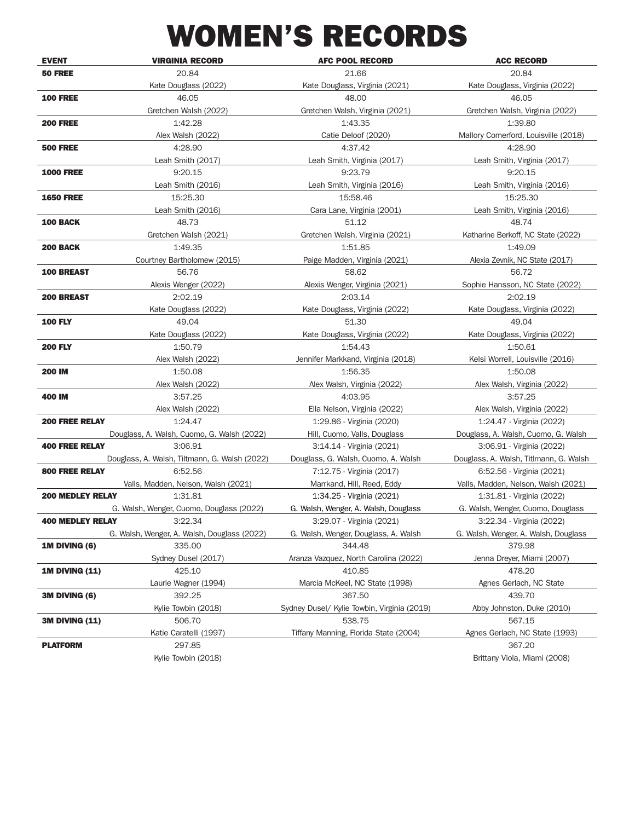## WOMEN'S RECORDS

| <b>EVENT</b>            | <b>VIRGINIA RECORD</b>                        | <b>AFC POOL RECORD</b>                      | <b>ACC RECORD</b>                      |
|-------------------------|-----------------------------------------------|---------------------------------------------|----------------------------------------|
| <b>50 FREE</b>          | 20.84                                         | 21.66                                       | 20.84                                  |
|                         | Kate Douglass (2022)                          | Kate Douglass, Virginia (2021)              | Kate Douglass, Virginia (2022)         |
| <b>100 FREE</b>         | 46.05                                         | 48.00                                       | 46.05                                  |
|                         | Gretchen Walsh (2022)                         | Gretchen Walsh, Virginia (2021)             | Gretchen Walsh, Virginia (2022)        |
| <b>200 FREE</b>         | 1:42.28                                       | 1:43.35                                     | 1:39.80                                |
|                         | Alex Walsh (2022)                             | Catie Deloof (2020)                         | Mallory Comerford, Louisville (2018)   |
| <b>500 FREE</b>         | 4:28.90                                       | 4:37.42                                     | 4:28.90                                |
|                         | Leah Smith (2017)                             | Leah Smith, Virginia (2017)                 | Leah Smith, Virginia (2017)            |
| <b>1000 FREE</b>        | 9:20.15                                       | 9:23.79                                     | 9:20.15                                |
|                         | Leah Smith (2016)                             | Leah Smith, Virginia (2016)                 | Leah Smith, Virginia (2016)            |
| <b>1650 FREE</b>        | 15:25.30                                      | 15:58.46                                    | 15:25.30                               |
|                         | Leah Smith (2016)                             | Cara Lane, Virginia (2001)                  | Leah Smith, Virginia (2016)            |
| <b>100 BACK</b>         | 48.73                                         | 51.12                                       | 48.74                                  |
|                         | Gretchen Walsh (2021)                         | Gretchen Walsh, Virginia (2021)             | Katharine Berkoff, NC State (2022)     |
| <b>200 BACK</b>         | 1:49.35                                       | 1:51.85                                     | 1:49.09                                |
|                         | Courtney Bartholomew (2015)                   | Paige Madden, Virginia (2021)               | Alexia Zevnik, NC State (2017)         |
| <b>100 BREAST</b>       | 56.76                                         | 58.62                                       | 56.72                                  |
|                         | Alexis Wenger (2022)                          | Alexis Wenger, Virginia (2021)              | Sophie Hansson, NC State (2022)        |
| <b>200 BREAST</b>       | 2:02.19                                       | 2:03.14                                     | 2:02.19                                |
|                         | Kate Douglass (2022)                          | Kate Douglass, Virginia (2022)              | Kate Douglass, Virginia (2022)         |
| <b>100 FLY</b>          | 49.04                                         | 51.30                                       | 49.04                                  |
|                         | Kate Douglass (2022)                          | Kate Douglass, Virginia (2022)              | Kate Douglass, Virginia (2022)         |
| <b>200 FLY</b>          | 1:50.79                                       | 1:54.43                                     | 1:50.61                                |
|                         | Alex Walsh (2022)                             | Jennifer Markkand, Virginia (2018)          | Kelsi Worrell, Louisville (2016)       |
| <b>200 IM</b>           | 1:50.08                                       | 1:56.35                                     | 1:50.08                                |
|                         | Alex Walsh (2022)                             | Alex Walsh, Virginia (2022)                 | Alex Walsh, Virginia (2022)            |
| 400 IM                  | 3:57.25                                       | 4:03.95                                     | 3:57.25                                |
|                         | Alex Walsh (2022)                             | Ella Nelson, Virginia (2022)                | Alex Walsh, Virginia (2022)            |
| <b>200 FREE RELAY</b>   | 1:24.47                                       | 1:29.86 - Virginia (2020)                   | 1:24.47 - Virginia (2022)              |
|                         | Douglass, A. Walsh, Cuomo, G. Walsh (2022)    | Hill, Cuomo, Valls, Douglass                | Douglass, A. Walsh, Cuomo, G. Walsh    |
| <b>400 FREE RELAY</b>   | 3:06.91                                       | 3:14.14 - Virginia (2021)                   | 3:06.91 - Virginia (2022)              |
|                         | Douglass, A. Walsh, Tiltmann, G. Walsh (2022) | Douglass, G. Walsh, Cuomo, A. Walsh         | Douglass, A. Walsh, Titlmann, G. Walsh |
| <b>800 FREE RELAY</b>   | 6:52.56                                       | 7:12.75 - Virginia (2017)                   | 6:52.56 - Virginia (2021)              |
|                         | Valls, Madden, Nelson, Walsh (2021)           | Marrkand, Hill, Reed, Eddy                  | Valls, Madden, Nelson, Walsh (2021)    |
| <b>200 MEDLEY RELAY</b> | 1:31.81                                       | 1:34.25 - Virginia (2021)                   | 1:31.81 - Virginia (2022)              |
|                         | G. Walsh, Wenger, Cuomo, Douglass (2022)      | G. Walsh, Wenger, A. Walsh, Douglass        | G. Walsh, Wenger, Cuomo, Douglass      |
| <b>400 MEDLEY RELAY</b> | 3:22.34                                       | 3:29.07 - Virginia (2021)                   | 3:22.34 - Virginia (2022)              |
|                         | G. Walsh, Wenger, A. Walsh, Douglass (2022)   | G. Walsh, Wenger, Douglass, A. Walsh        | G. Walsh, Wenger, A. Walsh, Douglass   |
| 1M DIVING (6)           | 335.00                                        | 344.48                                      | 379.98                                 |
|                         | Sydney Dusel (2017)                           | Aranza Vazquez, North Carolina (2022)       | Jenna Dreyer, Miami (2007)             |
| <b>1M DIVING (11)</b>   | 425.10                                        | 410.85                                      | 478.20                                 |
|                         | Laurie Wagner (1994)                          | Marcia McKeel, NC State (1998)              | Agnes Gerlach, NC State                |
| 3M DIVING (6)           | 392.25                                        | 367.50                                      | 439.70                                 |
|                         | Kylie Towbin (2018)                           | Sydney Dusel/ Kylie Towbin, Virginia (2019) | Abby Johnston, Duke (2010)             |
| <b>3M DIVING (11)</b>   | 506.70                                        | 538.75                                      | 567.15                                 |
|                         | Katie Caratelli (1997)                        | Tiffany Manning, Florida State (2004)       | Agnes Gerlach, NC State (1993)         |
| <b>PLATFORM</b>         | 297.85                                        |                                             | 367.20                                 |
|                         | Kylie Towbin (2018)                           |                                             | Brittany Viola, Miami (2008)           |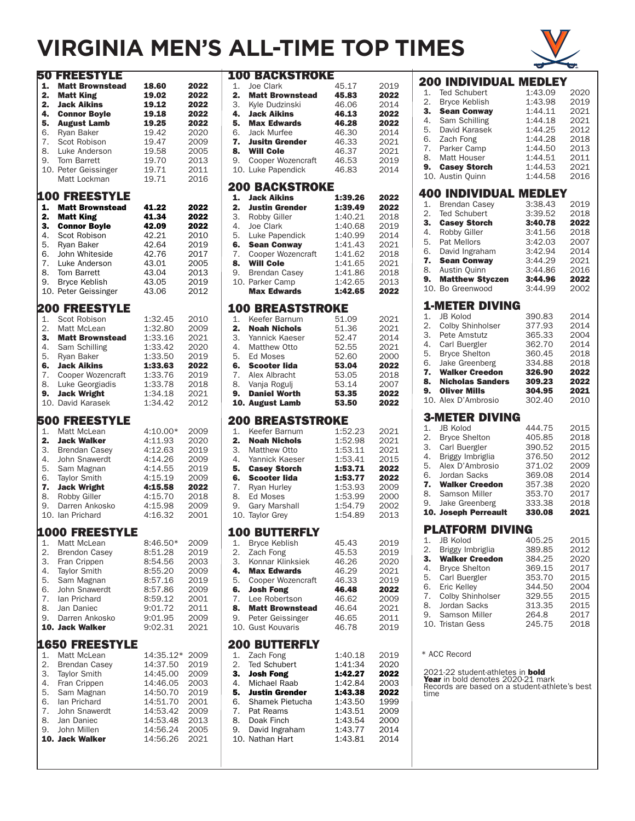### **VIRGINIA MEN'S ALL-TIME TOP TIMES**



|                                                    | <b>50 FREESTYLE</b>                                                                                                                                                                                                          |                                                                                                                       |                                                                                      |
|----------------------------------------------------|------------------------------------------------------------------------------------------------------------------------------------------------------------------------------------------------------------------------------|-----------------------------------------------------------------------------------------------------------------------|--------------------------------------------------------------------------------------|
| 1.<br>2.<br>2.<br>4.<br>5.<br>6.<br>7.<br>8.<br>9. | <b>Matt Brownstead</b><br><b>Matt King</b><br><b>Jack Aikins</b><br><b>Connor Boyle</b><br><b>August Lamb</b><br>Ryan Baker<br>Scot Robison<br>Luke Anderson<br><b>Tom Barrett</b><br>10. Peter Geissinger<br>Matt Lockman   | 18.60<br>19.02<br>19.12<br>19.18<br>19.25<br>19.42<br>19.47<br>19.58<br>19.70<br>19.71<br>19.71                       | 2022<br>2022<br>2022<br>2022<br>2022<br>2020<br>2009<br>2005<br>2013<br>2011<br>2016 |
| 1.<br>2.<br>3.<br>4.<br>5.<br>6.<br>7.<br>8.<br>9. | <b>100 FREESTYLE</b><br><b>Matt Brownstead</b><br>Matt King<br><b>Connor Boyle</b><br>Scot Robison<br>Ryan Baker<br>John Whiteside<br>Luke Anderson<br>Tom Barrett<br><b>Bryce Keblish</b><br>10. Peter Geissinger           | 41.22<br>41.34<br>42.09<br>42.21<br>42.64<br>42.76<br>43.01<br>43.04<br>43.05<br>43.06                                | 2022<br>2022<br>2022<br>2010<br>2019<br>2017<br>2005<br>2013<br>2019<br>2012         |
| 1.<br>2.<br>3.<br>4.<br>5.<br>6.<br>7.<br>8.<br>9. | <b>200 FREESTYLE</b><br>Scot Robison<br>Matt McLean<br><b>Matt Brownstead</b><br>Sam Schilling<br><b>Rvan Baker</b><br><b>Jack Aikins</b><br>Cooper Wozencraft<br>Luke Georgiadis<br><b>Jack Wright</b><br>10. David Karasek | 1:32.45<br>1:32.80<br>1:33.16<br>1:33.42<br>1:33.50<br>1:33.63<br>1:33.76<br>1:33.78<br>1:34.18<br>1:34.42            | 2010<br>2009<br>2021<br>2020<br>2019<br>2022<br>2019<br>2018<br>2021<br>2012         |
| 1.<br>2.<br>3.<br>4.<br>5.<br>6.<br>7.<br>8.<br>9. | <b>500 FREESTYLE</b><br>Matt McLean<br><b>Jack Walker</b><br><b>Brendan Casey</b><br>John Snawerdt<br>Sam Magnan<br><b>Taylor Smith</b><br><b>Jack Wright</b><br>Robby Giller<br>Darren Ankosko<br>10. Ian Prichard          | 4:10.00*<br>4:11.93<br>4:12.63<br>4:14.26<br>4:14.55<br>4:15.19<br>4:15.58<br>4:15.70<br>4:15.98<br>4:16.32           | 2009<br>2020<br>2019<br>2009<br>2019<br>2009<br>2022<br>2018<br>2009<br>2001         |
| 1.<br>2.<br>3.<br>4.<br>5.<br>6.<br>7.<br>8.<br>9. | <b>1000 FREESTYLE</b><br>Matt McLean<br><b>Brendon Casey</b><br>Fran Crippen<br>Taylor Smith<br>Sam Magnan<br>John Snawerdt<br>lan Prichard<br>Jan Daniec<br>Darren Ankosko<br>10. Jack Walker                               | 8:46.50*<br>8:51.28<br>8:54.56<br>8:55.20<br>8:57.16<br>8:57.86<br>8:59.12<br>9:01.72<br>9:01.95<br>9:02.31           | 2009<br>2019<br>2003<br>2009<br>2019<br>2009<br>2001<br>2011<br>2009<br>2021         |
| 1.<br>2.<br>3.<br>4.<br>5.<br>6.<br>7.<br>8.<br>9. | <b>1650 FREESTYLE</b><br>Matt McLean<br><b>Brendan Casey</b><br>Taylor Smith<br>Fran Crippen<br>Sam Magnan<br>lan Prichard<br>John Snawerdt<br>Jan Daniec<br>John Millen<br>10. Jack Walker                                  | 14:35.12*<br>14:37.50<br>14:45.00<br>14:46.05<br>14:50.70<br>14:51.70<br>14:53.42<br>14:53.48<br>14:56.24<br>14:56.26 | 2009<br>2019<br>2009<br>2003<br>2019<br>2001<br>2009<br>2013<br>2005<br>2021         |

|                  | <b>100 BACKSTROKE</b>                       |                    |              |
|------------------|---------------------------------------------|--------------------|--------------|
| 1.               | Joe Clark                                   | 45.17              | 2019         |
| 2.<br>3.         | <b>Matt Brownstead</b><br>Kyle Dudzinski    | 45.83<br>46.06     | 2022<br>2014 |
| 4.               | <b>Jack Aikins</b>                          | 46.13              | 2022         |
| 5.               | <b>Max Edwards</b>                          | 46.28              | 2022         |
| 6.               | <b>Jack Murfee</b>                          | 46.30              | 2014         |
| 7.               | <b>Jusitn Grender</b>                       | 46.33              | 2021         |
| 8.<br>9.         | <b>Will Cole</b>                            | 46.37              | 2021         |
|                  | Cooper Wozencraft<br>10. Luke Papendick     | 46.53<br>46.83     | 2019<br>2014 |
|                  |                                             |                    |              |
|                  | <b>200 BACKSTROKE</b><br><b>Jack Aikins</b> | 1:39.26            |              |
| 1.<br>2.         | <b>Justin Grender</b>                       | 1:39.49            | 2022<br>2022 |
| 3.               | Robby Giller                                | 1:40.21            | 2018         |
| 4.               | Joe Clark                                   | 1:40.68            | 2019         |
| 5.               | Luke Papendick                              | 1:40.99            | 2014         |
| 6.               | <b>Sean Conway</b>                          | 1:41.43            | 2021         |
| 7.<br>8.         | Cooper Wozencraft<br><b>Will Cole</b>       | 1:41.62<br>1:41.65 | 2018<br>2021 |
| 9.               | <b>Brendan Casey</b>                        | 1:41.86            | 2018         |
|                  | 10. Parker Camp                             | 1:42.65            | 2013         |
|                  | <b>Max Edwards</b>                          | 1:42.65            | 2022         |
|                  | <b>100 BREASTSTROKE</b>                     |                    |              |
| 1.               | Keefer Barnum                               | 51.09              | 2021         |
| 2.               | <b>Noah Nichols</b>                         | 51.36              | 2021         |
| 3.               | Yannick Kaeser                              | 52.47              | 2014         |
| $\overline{4}$ . | Yammore<br>Matthew Otto                     | 52.55              | 2021         |
| 5.<br>6.         | Ed Moses<br><b>Scooter lida</b>             | 52.60<br>53.04     | 2000<br>2022 |
| 7.               | Alex Albracht                               | 53.05              | 2018         |
| 8.               | Vanja Rogulj                                | 53.14              | 2007         |
| 9.               | <b>Daniel Worth</b>                         | 53.35              | 2022         |
|                  | 10. August Lamb                             | 53.50              | 2022         |
|                  | <b>200 BREASTSTROKE</b>                     |                    |              |
|                  |                                             |                    |              |
| 1.               | Keefer Barnum                               | 1:52.23            | 2021         |
| 2.               | <b>Noah Nichols</b>                         | 1:52.98            | 2021         |
| 3.               | Matthew Otto                                | 1:53.11            | 2021         |
| 4.<br>5.         | Yannick Kaeser<br><b>Casey Storch</b>       | 1:53.41<br>1:53.71 | 2015<br>2022 |
| 6.               | <b>Scooter lida</b>                         | 1:53.77            | 2022         |
| 7.               | Ryan Hurley                                 | 1:53.93            | 2009         |
| 8.               | <b>Ed Moses</b>                             | 1:53.99            | 2000         |
| 9.               | <b>Gary Marshall</b>                        | 1:54.79<br>1:54.89 | 2002<br>2013 |
|                  | 10. Taylor Grey                             |                    |              |
|                  | <b>100 BUTTERFLY</b>                        |                    |              |
| 1.               | <b>Bryce Keblish</b>                        | 45.43              | 2019         |
| 2.<br>3.         | Zach Fong<br>Konnar Klinksiek               | 45.53<br>46.26     | 2019<br>2020 |
| 4.               | <b>Max Edwards</b>                          | 46.29              | 2021         |
| 5.               | Cooper Wozencraft                           | 46.33              | 2019         |
| 6.               | <b>Josh Fong</b>                            | 46.48              | 2022         |
| 7.<br>8.         | Lee Robertson                               | 46.62              | 2009         |
| 9.               | <b>Matt Brownstead</b><br>Peter Geissinger  | 46.64<br>46.65     | 2021<br>2011 |
|                  | 10. Gust Kouvaris                           | 46.78              | 2019         |
|                  |                                             |                    |              |
| 1.               | <b>200 BUTTERFLY</b><br>Zach Fong           | 1:40.18            | 2019         |
| 2.               | <b>Ted Schubert</b>                         | 1:41:34            | 2020         |
| З.               | <b>Josh Fong</b>                            | 1:42.27            | 2022         |
| 4.               | Michael Raab                                | 1:42.84            | 2003         |
| 5.               | <b>Justin Grender</b>                       | 1:43.38            | 2022         |
| 6.<br>7.         | Shamek Pietucha<br>Pat Reams                | 1:43.50<br>1:43.51 | 1999<br>2009 |
| 8.               | Doak Finch                                  | 1:43.54            | 2000         |
| 9.               | David Ingraham                              | 1:43.77            | 2014         |
|                  | 10. Nathan Hart                             | 1:43.81            | 2014         |

|          | 200 INDIVIDUAL MEDLEY                                                              |                    |              |
|----------|------------------------------------------------------------------------------------|--------------------|--------------|
| 1.       | <b>Ted Schubert</b>                                                                | 1:43.09            | 2020         |
| 2.       | <b>Bryce Keblish</b>                                                               | 1:43.98            | 2019         |
| 3.       | <b>Sean Conway</b>                                                                 | 1:44.11            | 2021         |
| 4.<br>5. | Sam Schilling<br>David Karasek                                                     | 1:44.18<br>1:44.25 | 2021<br>2012 |
| 6.       | Zach Fong                                                                          | 1:44.28            | 2018         |
| 7.       | Parker Camp                                                                        | 1:44.50            | 2013         |
| 8.       | Matt Houser                                                                        | 1:44.51            | 2011         |
| 9.       | <b>Casey Storch</b>                                                                | 1:44.53            | 2021         |
|          | 10. Austin Quinn                                                                   | 1:44.58            | 2016         |
|          | <b>400 INDIVIDUAL MEDLEY</b>                                                       |                    |              |
| 1.       | <b>Brendan Casey</b>                                                               | 3:38.43            | 2019         |
| 2.       | <b>Ted Schubert</b>                                                                | 3:39.52            | 2018         |
| 3.       | <b>Casey Storch</b>                                                                | 3:40.78            | 2022         |
| 4.<br>5. | Robby Giller<br>Pat Mellors                                                        | 3:41.56<br>3:42.03 | 2018<br>2007 |
| 6.       | David Ingraham                                                                     | 3:42.94            | 2014         |
| 7.       | <b>Sean Conway</b>                                                                 | 3:44.29            | 2021         |
| 8.       | Austin Quinn                                                                       | 3:44.86            | 2016         |
| 9.       | <b>Matthew Styczen</b>                                                             | 3:44.96            | 2022         |
|          | 10. Bo Greenwood                                                                   | 3:44.99            | 2002         |
|          | <b>1-METER DIVING</b>                                                              |                    |              |
| 1.       | <b>JB Kolod</b>                                                                    | 390.83             | 2014         |
| 2.       | Colby Shinholser                                                                   | 377.93             | 2014         |
| 3.       | Pete Amstutz                                                                       | 365.33             | 2004         |
| 4.       | Carl Buergler                                                                      | 362.70             | 2014         |
| 5.<br>6. | <b>Bryce Shelton</b><br>Jake Greenberg                                             | 360.45<br>334.88   | 2018<br>2018 |
| 7.       | <b>Walker Creedon</b>                                                              | 326.90             | 2022         |
| 8.       | <b>Nicholas Sanders</b>                                                            | 309.23             | 2022         |
| 9.       | <b>Oliver Mills</b>                                                                | 304.95             | 2021         |
|          | 10. Alex D'Ambrosio                                                                | 302.40             | 2010         |
|          | <b>3-METER DIVING</b>                                                              |                    |              |
| 1.       | <b>JB Kolod</b>                                                                    | 444.75             | 2015         |
| 2.       | <b>Bryce Shelton</b>                                                               | 405.85             | 2018         |
| 3.       | Carl Buergler                                                                      | 390.52             | 2015         |
| 4.       |                                                                                    | 376.50             | 2012         |
|          | Briggy Imbriglia                                                                   |                    |              |
| 5.       | Alex D'Ambrosio                                                                    | 371.02             | 2009         |
| 6.       | Jordan Sacks                                                                       | 369.08             | 2014         |
| 7.<br>8. | <b>Walker Creedon</b><br>Samson Miller                                             | 357.38<br>353.70   | 2020<br>2017 |
| 9.       | Jake Greenberg                                                                     | 333.38             | 2018         |
|          | 10. Joseph Perreault                                                               | 330.08             | 2021         |
|          |                                                                                    |                    |              |
|          | <b>PLATFORM DIVING</b>                                                             |                    |              |
| 2.       | 1. JB Kolod<br>Briggy Imbriglia                                                    | 405.25<br>389.85   | 2015<br>2012 |
| 3.       | <b>Walker Creedon</b>                                                              | 384.25             | 2020         |
| 4.       | <b>Bryce Shelton</b>                                                               | 369.15             | 2017         |
| 5.       | Carl Buergler                                                                      | 353.70             | 2015         |
| 6.       | Eric Kelley                                                                        | 344.50             | 2004         |
| 7.<br>8. | Colby Shinholser<br>Jordan Sacks                                                   | 329.55<br>313.35   | 2015<br>2015 |
| 9.       | Samson Miller                                                                      | 264.8              | 2017         |
|          | 10. Tristan Gess                                                                   | 245.75             | 2018         |
|          |                                                                                    |                    |              |
|          |                                                                                    |                    |              |
|          | * ACC Record                                                                       |                    |              |
|          | 2021-22 student-athletes in bold                                                   |                    |              |
|          | Year in bold denotes 2020-21 mark<br>Records are based on a student-athlete's best |                    |              |
| time     |                                                                                    |                    |              |
|          |                                                                                    |                    |              |
|          |                                                                                    |                    |              |
|          |                                                                                    |                    |              |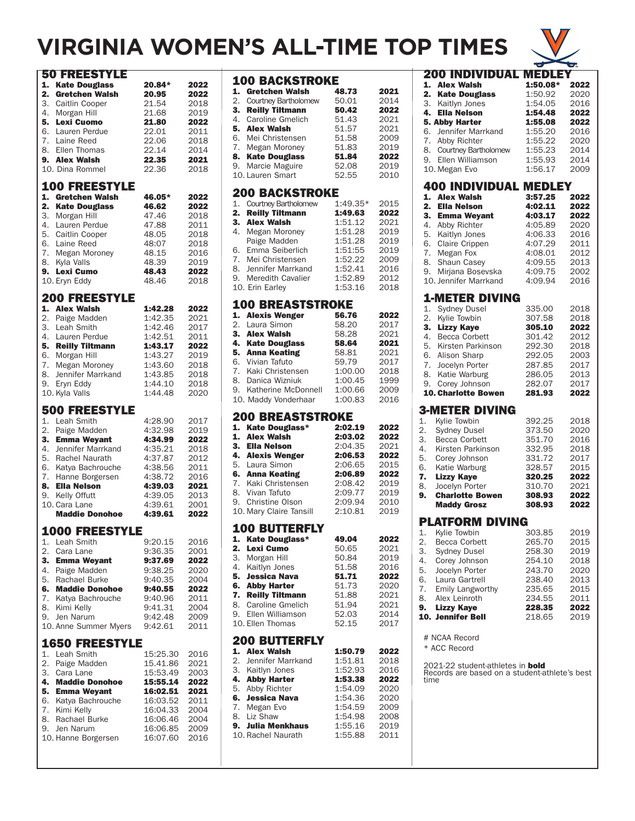# **VIRGINIA WOMEN'S ALL-TIME TOP TIMES**



| <b>Kate Douglass</b><br>1.<br>20.84*<br>2022<br>2.<br><b>Gretchen Walsh</b><br>20.95<br>2022<br>21.54<br>3.<br>Caitlin Cooper<br>2018<br>4.<br>Morgan Hill<br>21.68<br>2019<br>21.80<br>5.<br><b>Lexi Cuomo</b><br>2022<br>6.<br>Lauren Perdue<br>22.01<br>2011<br>Laine Reed<br>7.<br>22.06<br>2018<br>Ellen Thomas<br>22.14<br>8.<br>2014<br>22.35<br>9.<br><b>Alex Walsh</b><br>2021<br>10. Dina Rommel<br>22.36<br>2018<br><b>100 FREESTYLE</b><br>1.<br><b>Gretchen Walsh</b><br>46.05*<br>2022<br>2.<br><b>Kate Douglass</b><br>46.62<br>2022<br>47.46<br>3.<br>Morgan Hill<br>2018<br>47.88<br>4.<br>Lauren Perdue<br>2011<br>Caitlin Cooper<br>5.<br>48.05<br>2018<br>Laine Reed<br>48:07<br>6.<br>2018<br>48.15<br>7.<br>2016<br>Megan Moroney<br>48.39<br>8.<br>Kyla Valls<br>2019<br><b>Lexi Cumo</b><br>48.43<br>2022<br>9.<br>10. Eryn Eddy<br>48.46<br>2018<br><b>200 FREESTYLE</b><br>1.<br><b>Alex Walsh</b><br>1:42.28<br>2022<br>Paige Madden<br>1:42.35<br>2.<br>2021<br>Leah Smith<br>1:42.46<br>3.<br>2017<br>1:42.51<br>4.<br>Lauren Perdue<br>2011<br>5.<br>1:43.17<br><b>Reilly Tiltmann</b><br>2022<br>1:43.27<br>Morgan Hill<br>2019<br>6.<br>1:43.60<br>7.<br>2018<br>Megan Moroney<br>1:43.85<br>8.<br>Jennifer Marrkand<br>2018<br>1:44.10<br>Eryn Eddy<br>2018<br>9.<br>10. Kyla Valls<br>1:44.48<br>2020<br>500 FREESTYLE<br>Leah Smith<br>1.<br>4:28.90<br>2017<br>Paige Madden<br>2.<br>4:32.98<br>2019<br>3.<br><b>Emma Weyant</b><br>4:34.99<br>2022<br>4.<br>Jennifer Marrkand<br>4:35.21<br>2018<br>5.<br>4:37.87<br><b>Rachel Naurath</b><br>2012<br>Katya Bachrouche<br>4:38.56<br>2011<br>6.<br>7.<br>4:38.72<br>2016<br>Hanne Borgersen<br>4:39.03<br>8.<br><b>Ella Nelson</b><br>2021<br>Kelly Offutt<br>4:39.05<br>2013<br>9.<br>10. Cara Lane<br>4:39.61<br>2001<br><b>Maddie Donohoe</b><br>4:39.61<br>2022<br><b>1000 FREESTYLE</b><br>1.<br>Leah Smith<br>9:20.15<br>2016<br>2.<br>Cara Lane<br>9:36.35<br>2001<br>3.<br><b>Emma Weyant</b><br>9:37.69<br>2022<br>4. Paige Madden<br>9:38.25<br>2020<br>5. Rachael Burke<br>9:40.35<br>2004<br>6.<br><b>Maddie Donohoe</b><br>2022<br>9:40.55<br>7. Katya Bachrouche<br>9:40.96<br>2011<br>8.<br>Kimi Kelly<br>9:41.31<br>2004<br>Jen Narum<br>9.<br>9:42.48<br>2009<br>9:42.61<br>10. Anne Summer Myers<br>2011<br><b>1650 FREESTYLE</b><br>1. Leah Smith<br>15:25.30<br>2016<br>2.<br>Paige Madden<br>15.41.86<br>2021<br>3.<br>Cara Lane<br>15:53.49<br>2003<br><b>Maddie Donohoe</b><br>4.<br>15:55.14<br>2022<br>5. Emma Weyant<br>16:02.51<br>2021<br>6. Katya Bachrouche<br>16:03.52<br>2011<br>7. Kimi Kelly<br>16:04.33<br>2004<br>8.<br>Rachael Burke<br>16:06.46<br>2004<br>9.<br>Jen Narum<br>16:06.85<br>2009<br>10. Hanne Borgersen<br>16:07.60<br>2016 | 50 FREESTYLE |  |
|----------------------------------------------------------------------------------------------------------------------------------------------------------------------------------------------------------------------------------------------------------------------------------------------------------------------------------------------------------------------------------------------------------------------------------------------------------------------------------------------------------------------------------------------------------------------------------------------------------------------------------------------------------------------------------------------------------------------------------------------------------------------------------------------------------------------------------------------------------------------------------------------------------------------------------------------------------------------------------------------------------------------------------------------------------------------------------------------------------------------------------------------------------------------------------------------------------------------------------------------------------------------------------------------------------------------------------------------------------------------------------------------------------------------------------------------------------------------------------------------------------------------------------------------------------------------------------------------------------------------------------------------------------------------------------------------------------------------------------------------------------------------------------------------------------------------------------------------------------------------------------------------------------------------------------------------------------------------------------------------------------------------------------------------------------------------------------------------------------------------------------------------------------------------------------------------------------------------------------------------------------------------------------------------------------------------------------------------------------------------------------------------------------------------------------------------------------------------------------------------------------------------------------------------------------------------------------------------------------------------------------------------------------------------------------------------------------------------------------------------------------------------|--------------|--|
|                                                                                                                                                                                                                                                                                                                                                                                                                                                                                                                                                                                                                                                                                                                                                                                                                                                                                                                                                                                                                                                                                                                                                                                                                                                                                                                                                                                                                                                                                                                                                                                                                                                                                                                                                                                                                                                                                                                                                                                                                                                                                                                                                                                                                                                                                                                                                                                                                                                                                                                                                                                                                                                                                                                                                                      |              |  |
|                                                                                                                                                                                                                                                                                                                                                                                                                                                                                                                                                                                                                                                                                                                                                                                                                                                                                                                                                                                                                                                                                                                                                                                                                                                                                                                                                                                                                                                                                                                                                                                                                                                                                                                                                                                                                                                                                                                                                                                                                                                                                                                                                                                                                                                                                                                                                                                                                                                                                                                                                                                                                                                                                                                                                                      |              |  |
|                                                                                                                                                                                                                                                                                                                                                                                                                                                                                                                                                                                                                                                                                                                                                                                                                                                                                                                                                                                                                                                                                                                                                                                                                                                                                                                                                                                                                                                                                                                                                                                                                                                                                                                                                                                                                                                                                                                                                                                                                                                                                                                                                                                                                                                                                                                                                                                                                                                                                                                                                                                                                                                                                                                                                                      |              |  |
|                                                                                                                                                                                                                                                                                                                                                                                                                                                                                                                                                                                                                                                                                                                                                                                                                                                                                                                                                                                                                                                                                                                                                                                                                                                                                                                                                                                                                                                                                                                                                                                                                                                                                                                                                                                                                                                                                                                                                                                                                                                                                                                                                                                                                                                                                                                                                                                                                                                                                                                                                                                                                                                                                                                                                                      |              |  |
|                                                                                                                                                                                                                                                                                                                                                                                                                                                                                                                                                                                                                                                                                                                                                                                                                                                                                                                                                                                                                                                                                                                                                                                                                                                                                                                                                                                                                                                                                                                                                                                                                                                                                                                                                                                                                                                                                                                                                                                                                                                                                                                                                                                                                                                                                                                                                                                                                                                                                                                                                                                                                                                                                                                                                                      |              |  |
|                                                                                                                                                                                                                                                                                                                                                                                                                                                                                                                                                                                                                                                                                                                                                                                                                                                                                                                                                                                                                                                                                                                                                                                                                                                                                                                                                                                                                                                                                                                                                                                                                                                                                                                                                                                                                                                                                                                                                                                                                                                                                                                                                                                                                                                                                                                                                                                                                                                                                                                                                                                                                                                                                                                                                                      |              |  |
|                                                                                                                                                                                                                                                                                                                                                                                                                                                                                                                                                                                                                                                                                                                                                                                                                                                                                                                                                                                                                                                                                                                                                                                                                                                                                                                                                                                                                                                                                                                                                                                                                                                                                                                                                                                                                                                                                                                                                                                                                                                                                                                                                                                                                                                                                                                                                                                                                                                                                                                                                                                                                                                                                                                                                                      |              |  |
|                                                                                                                                                                                                                                                                                                                                                                                                                                                                                                                                                                                                                                                                                                                                                                                                                                                                                                                                                                                                                                                                                                                                                                                                                                                                                                                                                                                                                                                                                                                                                                                                                                                                                                                                                                                                                                                                                                                                                                                                                                                                                                                                                                                                                                                                                                                                                                                                                                                                                                                                                                                                                                                                                                                                                                      |              |  |
|                                                                                                                                                                                                                                                                                                                                                                                                                                                                                                                                                                                                                                                                                                                                                                                                                                                                                                                                                                                                                                                                                                                                                                                                                                                                                                                                                                                                                                                                                                                                                                                                                                                                                                                                                                                                                                                                                                                                                                                                                                                                                                                                                                                                                                                                                                                                                                                                                                                                                                                                                                                                                                                                                                                                                                      |              |  |
|                                                                                                                                                                                                                                                                                                                                                                                                                                                                                                                                                                                                                                                                                                                                                                                                                                                                                                                                                                                                                                                                                                                                                                                                                                                                                                                                                                                                                                                                                                                                                                                                                                                                                                                                                                                                                                                                                                                                                                                                                                                                                                                                                                                                                                                                                                                                                                                                                                                                                                                                                                                                                                                                                                                                                                      |              |  |
|                                                                                                                                                                                                                                                                                                                                                                                                                                                                                                                                                                                                                                                                                                                                                                                                                                                                                                                                                                                                                                                                                                                                                                                                                                                                                                                                                                                                                                                                                                                                                                                                                                                                                                                                                                                                                                                                                                                                                                                                                                                                                                                                                                                                                                                                                                                                                                                                                                                                                                                                                                                                                                                                                                                                                                      |              |  |
|                                                                                                                                                                                                                                                                                                                                                                                                                                                                                                                                                                                                                                                                                                                                                                                                                                                                                                                                                                                                                                                                                                                                                                                                                                                                                                                                                                                                                                                                                                                                                                                                                                                                                                                                                                                                                                                                                                                                                                                                                                                                                                                                                                                                                                                                                                                                                                                                                                                                                                                                                                                                                                                                                                                                                                      |              |  |
|                                                                                                                                                                                                                                                                                                                                                                                                                                                                                                                                                                                                                                                                                                                                                                                                                                                                                                                                                                                                                                                                                                                                                                                                                                                                                                                                                                                                                                                                                                                                                                                                                                                                                                                                                                                                                                                                                                                                                                                                                                                                                                                                                                                                                                                                                                                                                                                                                                                                                                                                                                                                                                                                                                                                                                      |              |  |
|                                                                                                                                                                                                                                                                                                                                                                                                                                                                                                                                                                                                                                                                                                                                                                                                                                                                                                                                                                                                                                                                                                                                                                                                                                                                                                                                                                                                                                                                                                                                                                                                                                                                                                                                                                                                                                                                                                                                                                                                                                                                                                                                                                                                                                                                                                                                                                                                                                                                                                                                                                                                                                                                                                                                                                      |              |  |
|                                                                                                                                                                                                                                                                                                                                                                                                                                                                                                                                                                                                                                                                                                                                                                                                                                                                                                                                                                                                                                                                                                                                                                                                                                                                                                                                                                                                                                                                                                                                                                                                                                                                                                                                                                                                                                                                                                                                                                                                                                                                                                                                                                                                                                                                                                                                                                                                                                                                                                                                                                                                                                                                                                                                                                      |              |  |
|                                                                                                                                                                                                                                                                                                                                                                                                                                                                                                                                                                                                                                                                                                                                                                                                                                                                                                                                                                                                                                                                                                                                                                                                                                                                                                                                                                                                                                                                                                                                                                                                                                                                                                                                                                                                                                                                                                                                                                                                                                                                                                                                                                                                                                                                                                                                                                                                                                                                                                                                                                                                                                                                                                                                                                      |              |  |
|                                                                                                                                                                                                                                                                                                                                                                                                                                                                                                                                                                                                                                                                                                                                                                                                                                                                                                                                                                                                                                                                                                                                                                                                                                                                                                                                                                                                                                                                                                                                                                                                                                                                                                                                                                                                                                                                                                                                                                                                                                                                                                                                                                                                                                                                                                                                                                                                                                                                                                                                                                                                                                                                                                                                                                      |              |  |
|                                                                                                                                                                                                                                                                                                                                                                                                                                                                                                                                                                                                                                                                                                                                                                                                                                                                                                                                                                                                                                                                                                                                                                                                                                                                                                                                                                                                                                                                                                                                                                                                                                                                                                                                                                                                                                                                                                                                                                                                                                                                                                                                                                                                                                                                                                                                                                                                                                                                                                                                                                                                                                                                                                                                                                      |              |  |
|                                                                                                                                                                                                                                                                                                                                                                                                                                                                                                                                                                                                                                                                                                                                                                                                                                                                                                                                                                                                                                                                                                                                                                                                                                                                                                                                                                                                                                                                                                                                                                                                                                                                                                                                                                                                                                                                                                                                                                                                                                                                                                                                                                                                                                                                                                                                                                                                                                                                                                                                                                                                                                                                                                                                                                      |              |  |
|                                                                                                                                                                                                                                                                                                                                                                                                                                                                                                                                                                                                                                                                                                                                                                                                                                                                                                                                                                                                                                                                                                                                                                                                                                                                                                                                                                                                                                                                                                                                                                                                                                                                                                                                                                                                                                                                                                                                                                                                                                                                                                                                                                                                                                                                                                                                                                                                                                                                                                                                                                                                                                                                                                                                                                      |              |  |
|                                                                                                                                                                                                                                                                                                                                                                                                                                                                                                                                                                                                                                                                                                                                                                                                                                                                                                                                                                                                                                                                                                                                                                                                                                                                                                                                                                                                                                                                                                                                                                                                                                                                                                                                                                                                                                                                                                                                                                                                                                                                                                                                                                                                                                                                                                                                                                                                                                                                                                                                                                                                                                                                                                                                                                      |              |  |
|                                                                                                                                                                                                                                                                                                                                                                                                                                                                                                                                                                                                                                                                                                                                                                                                                                                                                                                                                                                                                                                                                                                                                                                                                                                                                                                                                                                                                                                                                                                                                                                                                                                                                                                                                                                                                                                                                                                                                                                                                                                                                                                                                                                                                                                                                                                                                                                                                                                                                                                                                                                                                                                                                                                                                                      |              |  |
|                                                                                                                                                                                                                                                                                                                                                                                                                                                                                                                                                                                                                                                                                                                                                                                                                                                                                                                                                                                                                                                                                                                                                                                                                                                                                                                                                                                                                                                                                                                                                                                                                                                                                                                                                                                                                                                                                                                                                                                                                                                                                                                                                                                                                                                                                                                                                                                                                                                                                                                                                                                                                                                                                                                                                                      |              |  |
|                                                                                                                                                                                                                                                                                                                                                                                                                                                                                                                                                                                                                                                                                                                                                                                                                                                                                                                                                                                                                                                                                                                                                                                                                                                                                                                                                                                                                                                                                                                                                                                                                                                                                                                                                                                                                                                                                                                                                                                                                                                                                                                                                                                                                                                                                                                                                                                                                                                                                                                                                                                                                                                                                                                                                                      |              |  |
|                                                                                                                                                                                                                                                                                                                                                                                                                                                                                                                                                                                                                                                                                                                                                                                                                                                                                                                                                                                                                                                                                                                                                                                                                                                                                                                                                                                                                                                                                                                                                                                                                                                                                                                                                                                                                                                                                                                                                                                                                                                                                                                                                                                                                                                                                                                                                                                                                                                                                                                                                                                                                                                                                                                                                                      |              |  |
|                                                                                                                                                                                                                                                                                                                                                                                                                                                                                                                                                                                                                                                                                                                                                                                                                                                                                                                                                                                                                                                                                                                                                                                                                                                                                                                                                                                                                                                                                                                                                                                                                                                                                                                                                                                                                                                                                                                                                                                                                                                                                                                                                                                                                                                                                                                                                                                                                                                                                                                                                                                                                                                                                                                                                                      |              |  |
|                                                                                                                                                                                                                                                                                                                                                                                                                                                                                                                                                                                                                                                                                                                                                                                                                                                                                                                                                                                                                                                                                                                                                                                                                                                                                                                                                                                                                                                                                                                                                                                                                                                                                                                                                                                                                                                                                                                                                                                                                                                                                                                                                                                                                                                                                                                                                                                                                                                                                                                                                                                                                                                                                                                                                                      |              |  |
|                                                                                                                                                                                                                                                                                                                                                                                                                                                                                                                                                                                                                                                                                                                                                                                                                                                                                                                                                                                                                                                                                                                                                                                                                                                                                                                                                                                                                                                                                                                                                                                                                                                                                                                                                                                                                                                                                                                                                                                                                                                                                                                                                                                                                                                                                                                                                                                                                                                                                                                                                                                                                                                                                                                                                                      |              |  |
|                                                                                                                                                                                                                                                                                                                                                                                                                                                                                                                                                                                                                                                                                                                                                                                                                                                                                                                                                                                                                                                                                                                                                                                                                                                                                                                                                                                                                                                                                                                                                                                                                                                                                                                                                                                                                                                                                                                                                                                                                                                                                                                                                                                                                                                                                                                                                                                                                                                                                                                                                                                                                                                                                                                                                                      |              |  |
|                                                                                                                                                                                                                                                                                                                                                                                                                                                                                                                                                                                                                                                                                                                                                                                                                                                                                                                                                                                                                                                                                                                                                                                                                                                                                                                                                                                                                                                                                                                                                                                                                                                                                                                                                                                                                                                                                                                                                                                                                                                                                                                                                                                                                                                                                                                                                                                                                                                                                                                                                                                                                                                                                                                                                                      |              |  |
|                                                                                                                                                                                                                                                                                                                                                                                                                                                                                                                                                                                                                                                                                                                                                                                                                                                                                                                                                                                                                                                                                                                                                                                                                                                                                                                                                                                                                                                                                                                                                                                                                                                                                                                                                                                                                                                                                                                                                                                                                                                                                                                                                                                                                                                                                                                                                                                                                                                                                                                                                                                                                                                                                                                                                                      |              |  |
|                                                                                                                                                                                                                                                                                                                                                                                                                                                                                                                                                                                                                                                                                                                                                                                                                                                                                                                                                                                                                                                                                                                                                                                                                                                                                                                                                                                                                                                                                                                                                                                                                                                                                                                                                                                                                                                                                                                                                                                                                                                                                                                                                                                                                                                                                                                                                                                                                                                                                                                                                                                                                                                                                                                                                                      |              |  |
|                                                                                                                                                                                                                                                                                                                                                                                                                                                                                                                                                                                                                                                                                                                                                                                                                                                                                                                                                                                                                                                                                                                                                                                                                                                                                                                                                                                                                                                                                                                                                                                                                                                                                                                                                                                                                                                                                                                                                                                                                                                                                                                                                                                                                                                                                                                                                                                                                                                                                                                                                                                                                                                                                                                                                                      |              |  |
|                                                                                                                                                                                                                                                                                                                                                                                                                                                                                                                                                                                                                                                                                                                                                                                                                                                                                                                                                                                                                                                                                                                                                                                                                                                                                                                                                                                                                                                                                                                                                                                                                                                                                                                                                                                                                                                                                                                                                                                                                                                                                                                                                                                                                                                                                                                                                                                                                                                                                                                                                                                                                                                                                                                                                                      |              |  |
|                                                                                                                                                                                                                                                                                                                                                                                                                                                                                                                                                                                                                                                                                                                                                                                                                                                                                                                                                                                                                                                                                                                                                                                                                                                                                                                                                                                                                                                                                                                                                                                                                                                                                                                                                                                                                                                                                                                                                                                                                                                                                                                                                                                                                                                                                                                                                                                                                                                                                                                                                                                                                                                                                                                                                                      |              |  |
|                                                                                                                                                                                                                                                                                                                                                                                                                                                                                                                                                                                                                                                                                                                                                                                                                                                                                                                                                                                                                                                                                                                                                                                                                                                                                                                                                                                                                                                                                                                                                                                                                                                                                                                                                                                                                                                                                                                                                                                                                                                                                                                                                                                                                                                                                                                                                                                                                                                                                                                                                                                                                                                                                                                                                                      |              |  |
|                                                                                                                                                                                                                                                                                                                                                                                                                                                                                                                                                                                                                                                                                                                                                                                                                                                                                                                                                                                                                                                                                                                                                                                                                                                                                                                                                                                                                                                                                                                                                                                                                                                                                                                                                                                                                                                                                                                                                                                                                                                                                                                                                                                                                                                                                                                                                                                                                                                                                                                                                                                                                                                                                                                                                                      |              |  |
|                                                                                                                                                                                                                                                                                                                                                                                                                                                                                                                                                                                                                                                                                                                                                                                                                                                                                                                                                                                                                                                                                                                                                                                                                                                                                                                                                                                                                                                                                                                                                                                                                                                                                                                                                                                                                                                                                                                                                                                                                                                                                                                                                                                                                                                                                                                                                                                                                                                                                                                                                                                                                                                                                                                                                                      |              |  |
|                                                                                                                                                                                                                                                                                                                                                                                                                                                                                                                                                                                                                                                                                                                                                                                                                                                                                                                                                                                                                                                                                                                                                                                                                                                                                                                                                                                                                                                                                                                                                                                                                                                                                                                                                                                                                                                                                                                                                                                                                                                                                                                                                                                                                                                                                                                                                                                                                                                                                                                                                                                                                                                                                                                                                                      |              |  |
|                                                                                                                                                                                                                                                                                                                                                                                                                                                                                                                                                                                                                                                                                                                                                                                                                                                                                                                                                                                                                                                                                                                                                                                                                                                                                                                                                                                                                                                                                                                                                                                                                                                                                                                                                                                                                                                                                                                                                                                                                                                                                                                                                                                                                                                                                                                                                                                                                                                                                                                                                                                                                                                                                                                                                                      |              |  |
|                                                                                                                                                                                                                                                                                                                                                                                                                                                                                                                                                                                                                                                                                                                                                                                                                                                                                                                                                                                                                                                                                                                                                                                                                                                                                                                                                                                                                                                                                                                                                                                                                                                                                                                                                                                                                                                                                                                                                                                                                                                                                                                                                                                                                                                                                                                                                                                                                                                                                                                                                                                                                                                                                                                                                                      |              |  |
|                                                                                                                                                                                                                                                                                                                                                                                                                                                                                                                                                                                                                                                                                                                                                                                                                                                                                                                                                                                                                                                                                                                                                                                                                                                                                                                                                                                                                                                                                                                                                                                                                                                                                                                                                                                                                                                                                                                                                                                                                                                                                                                                                                                                                                                                                                                                                                                                                                                                                                                                                                                                                                                                                                                                                                      |              |  |
|                                                                                                                                                                                                                                                                                                                                                                                                                                                                                                                                                                                                                                                                                                                                                                                                                                                                                                                                                                                                                                                                                                                                                                                                                                                                                                                                                                                                                                                                                                                                                                                                                                                                                                                                                                                                                                                                                                                                                                                                                                                                                                                                                                                                                                                                                                                                                                                                                                                                                                                                                                                                                                                                                                                                                                      |              |  |
|                                                                                                                                                                                                                                                                                                                                                                                                                                                                                                                                                                                                                                                                                                                                                                                                                                                                                                                                                                                                                                                                                                                                                                                                                                                                                                                                                                                                                                                                                                                                                                                                                                                                                                                                                                                                                                                                                                                                                                                                                                                                                                                                                                                                                                                                                                                                                                                                                                                                                                                                                                                                                                                                                                                                                                      |              |  |
|                                                                                                                                                                                                                                                                                                                                                                                                                                                                                                                                                                                                                                                                                                                                                                                                                                                                                                                                                                                                                                                                                                                                                                                                                                                                                                                                                                                                                                                                                                                                                                                                                                                                                                                                                                                                                                                                                                                                                                                                                                                                                                                                                                                                                                                                                                                                                                                                                                                                                                                                                                                                                                                                                                                                                                      |              |  |
|                                                                                                                                                                                                                                                                                                                                                                                                                                                                                                                                                                                                                                                                                                                                                                                                                                                                                                                                                                                                                                                                                                                                                                                                                                                                                                                                                                                                                                                                                                                                                                                                                                                                                                                                                                                                                                                                                                                                                                                                                                                                                                                                                                                                                                                                                                                                                                                                                                                                                                                                                                                                                                                                                                                                                                      |              |  |
|                                                                                                                                                                                                                                                                                                                                                                                                                                                                                                                                                                                                                                                                                                                                                                                                                                                                                                                                                                                                                                                                                                                                                                                                                                                                                                                                                                                                                                                                                                                                                                                                                                                                                                                                                                                                                                                                                                                                                                                                                                                                                                                                                                                                                                                                                                                                                                                                                                                                                                                                                                                                                                                                                                                                                                      |              |  |
|                                                                                                                                                                                                                                                                                                                                                                                                                                                                                                                                                                                                                                                                                                                                                                                                                                                                                                                                                                                                                                                                                                                                                                                                                                                                                                                                                                                                                                                                                                                                                                                                                                                                                                                                                                                                                                                                                                                                                                                                                                                                                                                                                                                                                                                                                                                                                                                                                                                                                                                                                                                                                                                                                                                                                                      |              |  |
|                                                                                                                                                                                                                                                                                                                                                                                                                                                                                                                                                                                                                                                                                                                                                                                                                                                                                                                                                                                                                                                                                                                                                                                                                                                                                                                                                                                                                                                                                                                                                                                                                                                                                                                                                                                                                                                                                                                                                                                                                                                                                                                                                                                                                                                                                                                                                                                                                                                                                                                                                                                                                                                                                                                                                                      |              |  |
|                                                                                                                                                                                                                                                                                                                                                                                                                                                                                                                                                                                                                                                                                                                                                                                                                                                                                                                                                                                                                                                                                                                                                                                                                                                                                                                                                                                                                                                                                                                                                                                                                                                                                                                                                                                                                                                                                                                                                                                                                                                                                                                                                                                                                                                                                                                                                                                                                                                                                                                                                                                                                                                                                                                                                                      |              |  |
|                                                                                                                                                                                                                                                                                                                                                                                                                                                                                                                                                                                                                                                                                                                                                                                                                                                                                                                                                                                                                                                                                                                                                                                                                                                                                                                                                                                                                                                                                                                                                                                                                                                                                                                                                                                                                                                                                                                                                                                                                                                                                                                                                                                                                                                                                                                                                                                                                                                                                                                                                                                                                                                                                                                                                                      |              |  |
|                                                                                                                                                                                                                                                                                                                                                                                                                                                                                                                                                                                                                                                                                                                                                                                                                                                                                                                                                                                                                                                                                                                                                                                                                                                                                                                                                                                                                                                                                                                                                                                                                                                                                                                                                                                                                                                                                                                                                                                                                                                                                                                                                                                                                                                                                                                                                                                                                                                                                                                                                                                                                                                                                                                                                                      |              |  |
|                                                                                                                                                                                                                                                                                                                                                                                                                                                                                                                                                                                                                                                                                                                                                                                                                                                                                                                                                                                                                                                                                                                                                                                                                                                                                                                                                                                                                                                                                                                                                                                                                                                                                                                                                                                                                                                                                                                                                                                                                                                                                                                                                                                                                                                                                                                                                                                                                                                                                                                                                                                                                                                                                                                                                                      |              |  |
|                                                                                                                                                                                                                                                                                                                                                                                                                                                                                                                                                                                                                                                                                                                                                                                                                                                                                                                                                                                                                                                                                                                                                                                                                                                                                                                                                                                                                                                                                                                                                                                                                                                                                                                                                                                                                                                                                                                                                                                                                                                                                                                                                                                                                                                                                                                                                                                                                                                                                                                                                                                                                                                                                                                                                                      |              |  |
|                                                                                                                                                                                                                                                                                                                                                                                                                                                                                                                                                                                                                                                                                                                                                                                                                                                                                                                                                                                                                                                                                                                                                                                                                                                                                                                                                                                                                                                                                                                                                                                                                                                                                                                                                                                                                                                                                                                                                                                                                                                                                                                                                                                                                                                                                                                                                                                                                                                                                                                                                                                                                                                                                                                                                                      |              |  |
|                                                                                                                                                                                                                                                                                                                                                                                                                                                                                                                                                                                                                                                                                                                                                                                                                                                                                                                                                                                                                                                                                                                                                                                                                                                                                                                                                                                                                                                                                                                                                                                                                                                                                                                                                                                                                                                                                                                                                                                                                                                                                                                                                                                                                                                                                                                                                                                                                                                                                                                                                                                                                                                                                                                                                                      |              |  |
|                                                                                                                                                                                                                                                                                                                                                                                                                                                                                                                                                                                                                                                                                                                                                                                                                                                                                                                                                                                                                                                                                                                                                                                                                                                                                                                                                                                                                                                                                                                                                                                                                                                                                                                                                                                                                                                                                                                                                                                                                                                                                                                                                                                                                                                                                                                                                                                                                                                                                                                                                                                                                                                                                                                                                                      |              |  |

|          | <b>100 BACKSTROKE</b>                                 |                    |              |
|----------|-------------------------------------------------------|--------------------|--------------|
| 1.       | <b>Gretchen Walsh</b>                                 | 48.73              | 2021         |
| 2.<br>3. | <b>Courtney Bartholomew</b><br><b>Reilly Tiltmann</b> | 50.01<br>50.42     | 2014<br>2022 |
| 4.       | Caroline Gmelich                                      | 51.43              | 2021         |
| 5.       | <b>Alex Walsh</b>                                     | 51.57              | 2021         |
| 6.       | Mei Christensen                                       | 51.58              | 2009         |
| 7.       | Megan Moroney                                         | 51.83              | 2019         |
| 8.       | <b>Kate Douglass</b>                                  | 51.84              | 2022         |
| 9.       | Marcie Maguire                                        | 52.08              | 2019         |
|          | 10. Lauren Smart                                      | 52.55              | 2010         |
|          | <b>200 BACKSTROKE</b>                                 |                    |              |
| 1.       | Courtney Bartholomew                                  | $1:49.35*$         | 2015         |
| 2.<br>3. | <b>Reilly Tiltmann</b><br><b>Alex Walsh</b>           | 1:49.63<br>1:51.12 | 2022<br>2021 |
| 4.       | Megan Moroney                                         | 1:51.28            | 2019         |
|          | Paige Madden                                          | 1:51.28            | 2019         |
| 6.       | Emma Seiberlich                                       | 1:51:55            | 2019         |
| 7.       | Mei Christensen                                       | 1:52.22            | 2009         |
| 8.       | Jennifer Marrkand                                     | 1:52.41            | 2016         |
| 9.       | Meredith Cavalier<br>10. Erin Earley                  | 1:52.89<br>1:53.16 | 2012<br>2018 |
|          |                                                       |                    |              |
| 1.       | 100 BREASTSTROKE                                      | 56.76              | 2022         |
| 2.       | <b>Alexis Wenger</b><br>Laura Simon                   | 58.20              | 2017         |
| 3.       | <b>Alex Walsh</b>                                     | 58.28              | 2021         |
| 4.       | <b>Kate Douglass</b>                                  | 58.64              | 2021         |
| 5.       | <b>Anna Keating</b>                                   | 58.81              | 2021         |
| 6.       | Vivian Tafuto                                         | 59.79              | 2017         |
| 7.       | Kaki Christensen                                      | 1:00.00            | 2018         |
| 8.<br>9. | Danica Wizniuk<br>Katherine McDonnell                 | 1:00.45<br>1:00.66 | 1999<br>2009 |
|          | 10. Maddy Vonderhaar                                  | 1:00.83            | 2016         |
|          | 200 BREASTSTROKE                                      |                    |              |
|          |                                                       |                    |              |
| 1.       |                                                       |                    |              |
| 1.       | Kate Douglass*<br><b>Alex Walsh</b>                   | 2:02.19<br>2:03.02 | 2022<br>2022 |
| 3.       | <b>Ella Nelson</b>                                    | 2:04.35            | 2021         |
| 4.       | <b>Alexis Wenger</b>                                  | 2:06.53            | 2022         |
|          | 5. Laura Simon                                        | 2:06.65            | 2015         |
| 6.       | <b>Anna Keating</b>                                   | 2:06.89            | 2022         |
|          | 7. Kaki Christensen                                   | 2:08.42            | 2019         |
| 8.<br>9. | Vivan Tafuto<br><b>Christine Olson</b>                | 2:09.77<br>2:09.94 | 2019<br>2010 |
|          | 10. Mary Claire Tansill                               | 2:10.81            | 2019         |
|          | <b>100 BUTTERFLY</b>                                  |                    |              |
|          | 1. Kate Douglass*                                     | 49.04              | 2022         |
|          | 2. Lexi Cumo                                          | 50.65              | 2021         |
|          | 3. Morgan Hill                                        | 50.84              | 2019         |
|          | 4. Kaitlyn Jones                                      | 51.58              | 2016         |
| 5.       | <b>Jessica Nava</b>                                   | 51.71              | 2022         |
| 6.       | <b>Abby Harter</b><br>7. Reilly Tiltmann              | 51.73<br>51.88     | 2020<br>2021 |
| 8.       | Caroline Gmelich                                      | 51.94              | 2021         |
| 9.       | Ellen Williamson                                      | 52.03              | 2014         |
|          | 10. Ellen Thomas                                      | 52.15              | 2017         |
|          | <b>200 BUTTERFLY</b>                                  |                    |              |
|          | 1. Alex Walsh                                         | 1:50.79            | 2022         |
|          | 2. Jennifer Marrkand                                  | 1:51.81            | 2018         |
|          | 3. Kaitlyn Jones                                      | 1:52.93            | 2016         |
| 4.       | <b>Abby Harter</b>                                    | 1:53.38            | 2022         |
|          | 5. Abby Richter                                       | 1:54.09            | 2020         |
| 6.       | <b>Jessica Nava</b><br>7. Megan Evo                   | 1:54.36<br>1:54.59 | 2020<br>2009 |
|          | 8. Liz Shaw                                           | 1:54.98            | 2008         |
|          | 9. Julia Menkhaus                                     | 1:55.16            | 2019         |
|          | 10. Rachel Naurath                                    | 1:55.88            | 2011         |

|      | <b>200 INDIVIDUAL MEDLEY</b>                  |          |      |
|------|-----------------------------------------------|----------|------|
|      | 1. Alex Walsh                                 | 1:50.08* | 2022 |
|      | 2. Kate Douglass                              | 1:50.92  | 2020 |
|      | 3. Kaitlyn Jones                              | 1:54.05  | 2016 |
|      |                                               |          |      |
|      | 4. Ella Nelson                                | 1:54.48  | 2022 |
|      | 5. Abby Harter                                | 1:55.08  | 2022 |
|      | 6. Jennifer Marrkand                          | 1:55.20  | 2016 |
|      | 7. Abby Richter                               | 1:55.22  | 2020 |
|      | 8. Courtney Bartholomew                       | 1:55.23  | 2014 |
|      | 9. Ellen Williamson                           | 1:55.93  | 2014 |
|      | 10. Megan Evo                                 | 1:56.17  | 2009 |
|      |                                               |          |      |
|      | <b>400 INDIVIDUAL MEDLEY</b>                  |          |      |
|      |                                               |          |      |
| 1.   | <b>Alex Walsh</b>                             | 3:57.25  | 2022 |
| 2.   | <b>Ella Nelson</b>                            | 4:02.11  | 2022 |
| 3.   | <b>Emma Weyant</b>                            | 4:03.17  | 2022 |
| 4.   | Abby Richter                                  | 4:05.89  | 2020 |
|      | 5. Kaitlyn Jones                              | 4:06.33  | 2016 |
|      | 6. Claire Crippen                             | 4:07.29  | 2011 |
|      |                                               | 4:08.01  | 2012 |
|      | 7. Megan Fox                                  |          |      |
| 8.   | Shaun Casey                                   | 4:09.55  | 2013 |
| 9.   | Mirjana Bosevska                              | 4:09.75  | 2002 |
|      | 10. Jennifer Marrkand                         | 4:09.94  | 2016 |
|      |                                               |          |      |
|      | <b>1-METER DIVING</b>                         |          |      |
| 1.   | Sydney Dusel                                  | 335.00   | 2018 |
| 2.   | Kylie Towbin                                  | 307.58   | 2018 |
|      | 3. Lizzy Kaye                                 | 305.10   |      |
|      |                                               |          | 2022 |
| 4.   | <b>Becca Corbett</b>                          | 301.42   | 2012 |
| 5.   | Kirsten Parkinson                             | 292.30   | 2018 |
| 6.   | Alison Sharp                                  | 292.05   | 2003 |
| 7.   | Jocelyn Porter                                | 287.85   | 2017 |
| 8.   | Katie Warburg                                 | 286.05   | 2013 |
| 9.   | Corey Johnson                                 | 282.07   | 2017 |
|      |                                               |          |      |
|      |                                               |          |      |
|      | <b>10. Charlotte Bowen</b>                    | 281.93   | 2022 |
|      |                                               |          |      |
|      | <b>3-METER DIVING</b>                         |          |      |
| 1.   | Kylie Towbin                                  | 392.25   | 2018 |
| 2.   | <b>Sydney Dusel</b>                           | 373.50   | 2020 |
| 3.   | <b>Becca Corbett</b>                          | 351.70   | 2016 |
| 4.   | Kirsten Parkinson                             | 332.95   | 2018 |
| 5.   |                                               | 331.72   | 2017 |
| 6.   | Corey Johnson                                 |          | 2015 |
|      | Katie Warburg                                 | 328.57   |      |
| 7.   | <b>Lizzy Kaye</b>                             | 320.25   | 2022 |
| 8.   | Jocelyn Porter                                | 310.70   | 2021 |
| 9.   | <b>Charlotte Bowen</b>                        | 308.93   | 2022 |
|      | <b>Maddy Grosz</b>                            | 308.93   | 2022 |
|      |                                               |          |      |
|      | <b>PLATFORM DIVING</b>                        |          |      |
| 1.   | Kylie Towbin                                  | 303.85   | 2019 |
| 2.   | <b>Becca Corbett</b>                          |          |      |
|      |                                               | 265.70   | 2015 |
| 3.   | <b>Sydney Dusel</b>                           | 258.30   | 2019 |
| 4.   | Corey Johnson                                 | 254.10   | 2018 |
| 5.   | Jocelyn Porter                                | 243.70   | 2020 |
| 6.   | Laura Gartrell                                | 238.40   | 2013 |
| 7.   | <b>Emily Langworthy</b>                       | 235.65   | 2015 |
| 8.   | Alex Leinroth                                 | 234.55   | 2011 |
| 9.   | <b>Lizzy Kaye</b>                             | 228.35   | 2022 |
|      | <b>10. Jennifer Bell</b>                      | 218.65   | 2019 |
|      |                                               |          |      |
|      |                                               |          |      |
|      | # NCAA Record                                 |          |      |
|      | * ACC Record                                  |          |      |
|      |                                               |          |      |
|      | 2021-22 student-athletes in bold              |          |      |
| time | Records are based on a student-athlete's best |          |      |
|      |                                               |          |      |
|      |                                               |          |      |
|      |                                               |          |      |